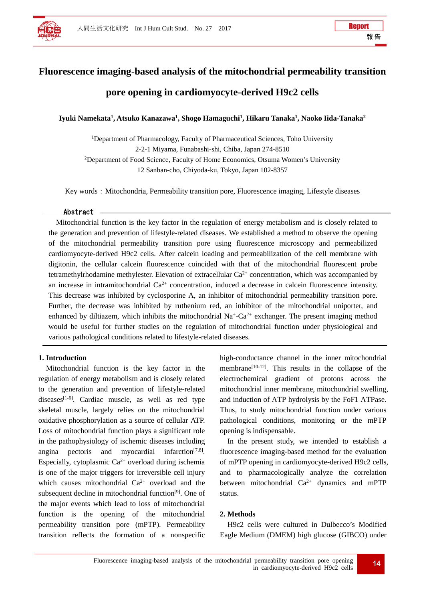

# **Fluorescence imaging-based analysis of the mitochondrial permeability transition pore opening in cardiomyocyte-derived H9c2 cells**

**Iyuki Namekata1 , Atsuko Kanazawa1, Shogo Hamaguchi1, Hikaru Tanaka1 , Naoko Iida-Tanaka2**

<sup>1</sup>Department of Pharmacology, Faculty of Pharmaceutical Sciences, Toho University 2-2-1 Miyama, Funabashi-shi, Chiba, Japan 274-8510 <sup>2</sup>Department of Food Science, Faculty of Home Economics, Otsuma Women's University 12 Sanban-cho, Chiyoda-ku, Tokyo, Japan 102-8357

Key words: Mitochondria, Permeability transition pore, Fluorescence imaging, Lifestyle diseases

#### Abstract

Mitochondrial function is the key factor in the regulation of energy metabolism and is closely related to the generation and prevention of lifestyle-related diseases. We established a method to observe the opening of the mitochondrial permeability transition pore using fluorescence microscopy and permeabilized cardiomyocyte-derived H9c2 cells. After calcein loading and permeabilization of the cell membrane with digitonin, the cellular calcein fluorescence coincided with that of the mitochondrial fluorescent probe tetramethylrhodamine methylester. Elevation of extracellular  $Ca^{2+}$  concentration, which was accompanied by an increase in intramitochondrial  $Ca^{2+}$  concentration, induced a decrease in calcein fluorescence intensity. This decrease was inhibited by cyclosporine A, an inhibitor of mitochondrial permeability transition pore. Further, the decrease was inhibited by ruthenium red, an inhibitor of the mitochondrial uniporter, and enhanced by diltiazem, which inhibits the mitochondrial  $Na<sup>+</sup>-Ca<sup>2+</sup>$  exchanger. The present imaging method would be useful for further studies on the regulation of mitochondrial function under physiological and various pathological conditions related to lifestyle-related diseases.

### **1. Introduction**

Mitochondrial function is the key factor in the regulation of energy metabolism and is closely related to the generation and prevention of lifestyle-related diseases $[1-6]$ . Cardiac muscle, as well as red type skeletal muscle, largely relies on the mitochondrial oxidative phosphorylation as a source of cellular ATP. Loss of mitochondrial function plays a significant role in the pathophysiology of ischemic diseases including angina pectoris and myocardial infarction $[7,8]$ . Especially, cytoplasmic  $Ca^{2+}$  overload during ischemia is one of the major triggers for irreversible cell injury which causes mitochondrial  $Ca^{2+}$  overload and the subsequent decline in mitochondrial function<sup>[9]</sup>. One of the major events which lead to loss of mitochondrial function is the opening of the mitochondrial permeability transition pore (mPTP). Permeability transition reflects the formation of a nonspecific

high-conductance channel in the inner mitochondrial membrane<sup>[10-12]</sup>. This results in the collapse of the electrochemical gradient of protons across the mitochondrial inner membrane, mitochondrial swelling, and induction of ATP hydrolysis by the FoF1 ATPase. Thus, to study mitochondrial function under various pathological conditions, monitoring or the mPTP opening is indispensable.

In the present study, we intended to establish a fluorescence imaging-based method for the evaluation of mPTP opening in cardiomyocyte-derived H9c2 cells, and to pharmacologically analyze the correlation between mitochondrial  $Ca^{2+}$  dynamics and mPTP status.

#### **2. Methods**

H9c2 cells were cultured in Dulbecco's Modified Eagle Medium (DMEM) high glucose (GIBCO) under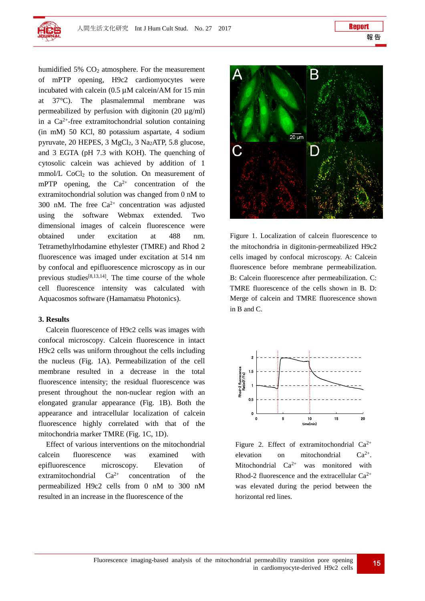

humidified 5% CO<sub>2</sub> atmosphere. For the measurement of mPTP opening, H9c2 cardiomyocytes were incubated with calcein (0.5 μM calcein/AM for 15 min at 37°C). The plasmalemmal membrane was permeabilized by perfusion with digiton in  $(20 \mu g/ml)$ in a  $Ca<sup>2+</sup>$ -free extramitochondrial solution containing (in mM) 50 KCl, 80 potassium aspartate, 4 sodium pyruvate, 20 HEPES,  $3 \text{ MgCl}_2$ ,  $3 \text{ Na}_2$ ATP,  $5.8 \text{ glucose}$ , and 3 EGTA (pH 7.3 with KOH). The quenching of cytosolic calcein was achieved by addition of 1 mmol/L CoCl<sub>2</sub> to the solution. On measurement of mPTP opening, the  $Ca^{2+}$  concentration of the extramitochondrial solution was changed from 0 nM to 300 nM. The free  $Ca^{2+}$  concentration was adjusted using the software Webmax extended. Two dimensional images of calcein fluorescence were obtained under excitation at 488 nm. Tetramethylrhodamine ethylester (TMRE) and Rhod 2 fluorescence was imaged under excitation at 514 nm by confocal and epifluorescence microscopy as in our previous studies $[8,13,14]$ . The time course of the whole cell fluorescence intensity was calculated with Aquacosmos software (Hamamatsu Photonics).

#### **3. Results**

Calcein fluorescence of H9c2 cells was images with confocal microscopy. Calcein fluorescence in intact H9c2 cells was uniform throughout the cells including the nucleus (Fig. 1A). Permeabilization of the cell membrane resulted in a decrease in the total fluorescence intensity; the residual fluorescence was present throughout the non-nuclear region with an elongated granular appearance (Fig. 1B). Both the appearance and intracellular localization of calcein fluorescence highly correlated with that of the mitochondria marker TMRE (Fig. 1C, 1D).

Effect of various interventions on the mitochondrial calcein fluorescence was examined with epifluorescence microscopy. Elevation of extramitochondrial  $Ca^{2+}$  concentration of the permeabilized H9c2 cells from 0 nM to 300 nM resulted in an increase in the fluorescence of the



Figure 1. Localization of calcein fluorescence to the mitochondria in digitonin-permeabilized H9c2 cells imaged by confocal microscopy. A: Calcein fluorescence before membrane permeabilization. B: Calcein fluorescence after permeabilization. C: TMRE fluorescence of the cells shown in B. D: Merge of calcein and TMRE fluorescence shown in B and C.



Figure 2. Effect of extramitochondrial  $Ca^{2+}$ elevation on mitochondrial  $Ca^{2+}$ . Mitochondrial  $Ca^{2+}$  was monitored with Rhod-2 fluorescence and the extracellular  $Ca^{2+}$ was elevated during the period between the horizontal red lines.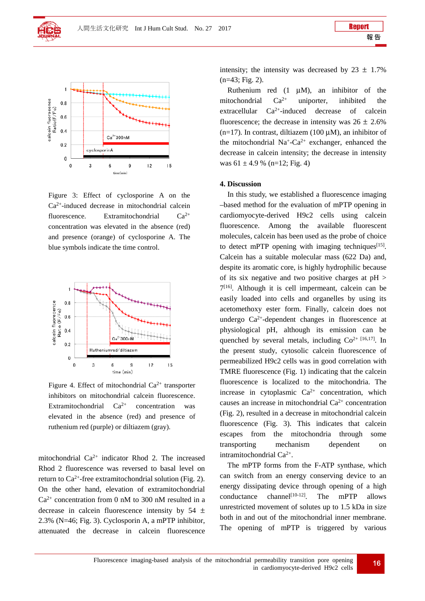



Figure 3: Effect of cyclosporine A on the Ca2+-induced decrease in mitochondrial calcein fluorescence. Extramitochondrial  $Ca^{2+}$ concentration was elevated in the absence (red) and presence (orange) of cyclosporine A. The blue symbols indicate the time control.



Figure 4. Effect of mitochondrial  $Ca^{2+}$  transporter inhibitors on mitochondrial calcein fluorescence. Extramitochondrial  $Ca^{2+}$  concentration was elevated in the absence (red) and presence of ruthenium red (purple) or diltiazem (gray).

mitochondrial  $Ca^{2+}$  indicator Rhod 2. The increased Rhod 2 fluorescence was reversed to basal level on return to  $Ca^{2+}$ -free extramitochondrial solution (Fig. 2). On the other hand, elevation of extramitochondrial  $Ca^{2+}$  concentration from 0 nM to 300 nM resulted in a decrease in calcein fluorescence intensity by  $54 \pm$ 2.3% (N=46; Fig. 3). Cyclosporin A, a mPTP inhibitor, attenuated the decrease in calcein fluorescence intensity; the intensity was decreased by  $23 \pm 1.7\%$  $(n=43; Fig. 2)$ .

Ruthenium red (1 μM), an inhibitor of the mitochondrial Ca2+ uniporter, inhibited the extracellular Ca2+-induced decrease of calcein fluorescence; the decrease in intensity was  $26 \pm 2.6\%$ (n=17). In contrast, diltiazem (100  $\mu$ M), an inhibitor of the mitochondrial  $Na^+$ -Ca<sup>2+</sup> exchanger, enhanced the decrease in calcein intensity; the decrease in intensity was  $61 \pm 4.9$  % (n=12; Fig. 4)

### **4. Discussion**

In this study, we established a fluorescence imaging –based method for the evaluation of mPTP opening in cardiomyocyte-derived H9c2 cells using calcein fluorescence. Among the available fluorescent molecules, calcein has been used as the probe of choice to detect mPTP opening with imaging techniques<sup>[15]</sup>. Calcein has a suitable molecular mass (622 Da) and, despite its aromatic core, is highly hydrophilic because of its six negative and two positive charges at pH >  $7^{[16]}$ . Although it is cell impermeant, calcein can be easily loaded into cells and organelles by using its acetomethoxy ester form. Finally, calcein does not undergo  $Ca^{2+}$ -dependent changes in fluorescence at physiological pH, although its emission can be quenched by several metals, including  $Co^{2+ [16,17]}$ . In the present study, cytosolic calcein fluorescence of permeabilized H9c2 cells was in good correlation with TMRE fluorescence (Fig. 1) indicating that the calcein fluorescence is localized to the mitochondria. The increase in cytoplasmic  $Ca^{2+}$  concentration, which causes an increase in mitochondrial  $Ca^{2+}$  concentration (Fig. 2), resulted in a decrease in mitochondrial calcein fluorescence (Fig. 3). This indicates that calcein escapes from the mitochondria through some transporting mechanism dependent on intramitochondrial Ca2+.

The mPTP forms from the F-ATP synthase, which can switch from an energy conserving device to an energy dissipating device through opening of a high conductance channel<sup>[10-12]</sup>. The mPTP allows unrestricted movement of solutes up to 1.5 kDa in size both in and out of the mitochondrial inner membrane. The opening of mPTP is triggered by various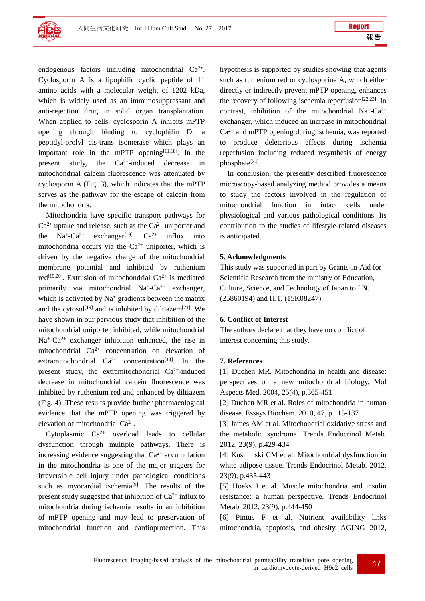

endogenous factors including mitochondrial  $Ca^{2+}$ . Cyclosporin A is a lipophilic cyclic peptide of 11 amino acids with a molecular weight of 1202 kDa, which is widely used as an immunosuppressant and anti-rejection drug in solid organ transplantation. When applied to cells, cyclosporin A inhibits mPTP opening through binding to cyclophilin D, a peptidyl-prolyl cis-trans isomerase which plays an important role in the mPTP opening $[11,18]$ . In the present study, the  $Ca^{2+}$ -induced decrease in mitochondrial calcein fluorescence was attenuated by cyclosporin A (Fig. 3), which indicates that the mPTP serves as the pathway for the escape of calcein from the mitochondria.

Mitochondria have specific transport pathways for  $Ca^{2+}$  uptake and release, such as the  $Ca^{2+}$  uniporter and the  $Na^{\dagger}\text{-}Ca^{2+}$  exchanger<sup>[19]</sup>.  $Ca^{2+}$  influx into mitochondria occurs via the  $Ca^{2+}$  uniporter, which is driven by the negative charge of the mitochondrial membrane potential and inhibited by ruthenium red<sup>[19,20]</sup>. Extrusion of mitochondrial  $Ca^{2+}$  is mediated primarily via mitochondrial  $Na^+$ -Ca<sup>2+</sup> exchanger, which is activated by  $Na<sup>+</sup>$  gradients between the matrix and the cytosol<sup>[19]</sup> and is inhibited by diltiazem<sup>[21]</sup>. We have shown in our pervious study that inhibition of the mitochondrial uniporter inhibited, while mitochondrial  $Na<sup>+</sup>-Ca<sup>2+</sup>$  exchanger inhibition enhanced, the rise in mitochondrial  $Ca^{2+}$  concentration on elevation of extramitochondrial  $Ca^{2+}$  concentration<sup>[14]</sup>. In the present study, the extramitochondrial  $Ca^{2+}$ -induced decrease in mitochondrial calcein fluorescence was inhibited by ruthenium red and enhanced by diltiazem (Fig. 4). These results provide further pharmacological evidence that the mPTP opening was triggered by elevation of mitochondrial Ca2+.

Cytoplasmic Ca2+ overload leads to cellular dysfunction through multiple pathways. There is increasing evidence suggesting that  $Ca^{2+}$  accumulation in the mitochondria is one of the major triggers for irreversible cell injury under pathological conditions such as myocardial ischemia<sup>[9]</sup>. The results of the present study suggested that inhibition of  $Ca^{2+}$  influx to mitochondria during ischemia results in an inhibition of mPTP opening and may lead to preservation of mitochondrial function and cardioprotection. This

hypothesis is supported by studies showing that agents such as ruthenium red or cyclosporine A, which either directly or indirectly prevent mPTP opening, enhances the recovery of following ischemia reperfusion $[22,23]$ . In contrast, inhibition of the mitochondrial  $Na^+$ -Ca<sup>2+</sup> exchanger, which induced an increase in mitochondrial  $Ca<sup>2+</sup>$  and mPTP opening during ischemia, was reported to produce deleterious effects during ischemia reperfusion including reduced resynthesis of energy phosphate<sup>[24]</sup>.

In conclusion, the presently described fluorescence microscopy-based analyzing method provides a means to study the factors involved in the regulation of mitochondrial function in intact cells under physiological and various pathological conditions. Its contribution to the studies of lifestyle-related diseases is anticipated.

#### **5. Acknowledgments**

This study was supported in part by Grants-in-Aid for Scientific Research from the ministry of Education, Culture, Science, and Technology of Japan to I.N. (25860194) and H.T. (15K08247).

#### **6. Conflict of Interest**

The authors declare that they have no conflict of interest concerning this study.

#### **7. References**

[1] Duchen MR. Mitochondria in health and disease: perspectives on a new mitochondrial biology. Mol Aspects Med. 2004, 25(4), p.365-451

[2] Duchen MR et al. Roles of mitochondria in human disease. Essays Biochem. 2010, 47, p.115-137

[3] James AM et al. Mitochondrial oxidative stress and the metabolic syndrome. Trends Endocrinol Metab. 2012, 23(9), p.429-434

[4] Kusminski CM et al. Mitochondrial dysfunction in white adipose tissue. Trends Endocrinol Metab. 2012, 23(9), p.435-443

[5] Hoeks J et al. Muscle mitochondria and insulin resistance: a human perspective. Trends Endocrinol Metab. 2012, 23(9), p.444-450

[6] Pintus F et al. Nutrient availability links mitochondria, apoptosis, and obesity. AGING. 2012,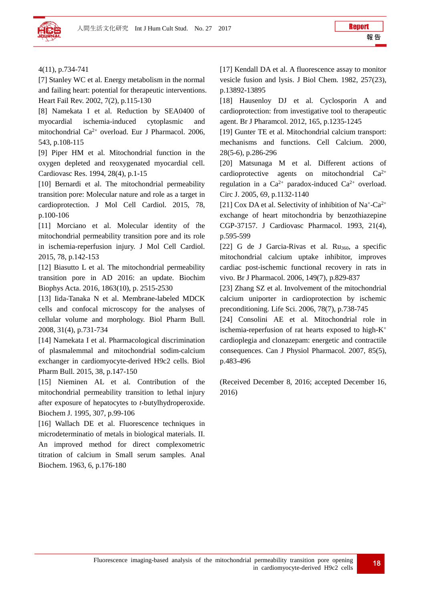

[7] Stanley WC et al. Energy metabolism in the normal and failing heart: potential for therapeutic interventions. Heart Fail Rev. 2002, 7(2), p.115-130

[8] Namekata I et al. Reduction by SEA0400 of myocardial ischemia-induced cytoplasmic and mitochondrial Ca2+ overload. Eur J Pharmacol. 2006, 543, p.108-115

[9] Piper HM et al. Mitochondrial function in the oxygen depleted and reoxygenated myocardial cell. Cardiovasc Res. 1994, 28(4), p.1-15

[10] Bernardi et al. The mitochondrial permeability transition pore: Molecular nature and role as a target in cardioprotection. J Mol Cell Cardiol. 2015, 78, p.100-106

[11] Morciano et al. Molecular identity of the mitochondrial permeability transition pore and its role in ischemia-reperfusion injury. J Mol Cell Cardiol. 2015, 78, p.142-153

[12] Biasutto L et al. The mitochondrial permeability transition pore in AD 2016: an update. Biochim Biophys Acta. 2016, 1863(10), p. 2515-2530

[13] Iida-Tanaka N et al. Membrane-labeled MDCK cells and confocal microscopy for the analyses of cellular volume and morphology. Biol Pharm Bull. 2008, 31(4), p.731-734

[14] Namekata I et al. Pharmacological discrimination of plasmalemmal and mitochondrial sodim-calcium exchanger in cardiomyocyte-derived H9c2 cells. Biol Pharm Bull. 2015, 38, p.147-150

[15] Nieminen AL et al. Contribution of the mitochondrial permeability transition to lethal injury after exposure of hepatocytes to *t*-butylhydroperoxide. Biochem J. 1995, 307, p.99-106

[16] Wallach DE et al. Fluorescence techniques in microdeterminatio of metals in biological materials. II. An improved method for direct complexometric titration of calcium in Small serum samples. Anal Biochem. 1963, 6, p.176-180

[17] Kendall DA et al. A fluorescence assay to monitor vesicle fusion and lysis. J Biol Chem. 1982, 257(23), p.13892-13895

[18] Hausenloy DJ et al. Cyclosporin A and cardioprotection: from investigative tool to therapeutic agent. Br J Pharamcol. 2012, 165, p.1235-1245

[19] Gunter TE et al. Mitochondrial calcium transport: mechanisms and functions. Cell Calcium. 2000, 28(5-6), p.286-296

[20] Matsunaga M et al. Different actions of cardioprotective agents on mitochondrial  $Ca^{2+}$ regulation in a  $Ca^{2+}$  paradox-induced  $Ca^{2+}$  overload. Circ J. 2005, 69, p.1132-1140

[21] Cox DA et al. Selectivity of inhibition of Na<sup>+</sup>-Ca<sup>2+</sup> exchange of heart mitochondria by benzothiazepine CGP-37157. J Cardiovasc Pharmacol. 1993, 21(4), p.595-599

[22] G de J Garcia-Rivas et al.  $Ru<sub>360</sub>$ , a specific mitochondrial calcium uptake inhibitor, improves cardiac post-ischemic functional recovery in rats in vivo. Br J Pharmacol. 2006, 149(7), p.829-837

[23] Zhang SZ et al. Involvement of the mitochondrial calcium uniporter in cardioprotection by ischemic preconditioning. Life Sci. 2006, 78(7), p.738-745

[24] Consolini AE et al. Mitochondrial role in ischemia-reperfusion of rat hearts exposed to high-K+ cardioplegia and clonazepam: energetic and contractile consequences. Can J Physiol Pharmacol. 2007, 85(5), p.483-496

(Received December 8, 2016; accepted December 16, 2016)